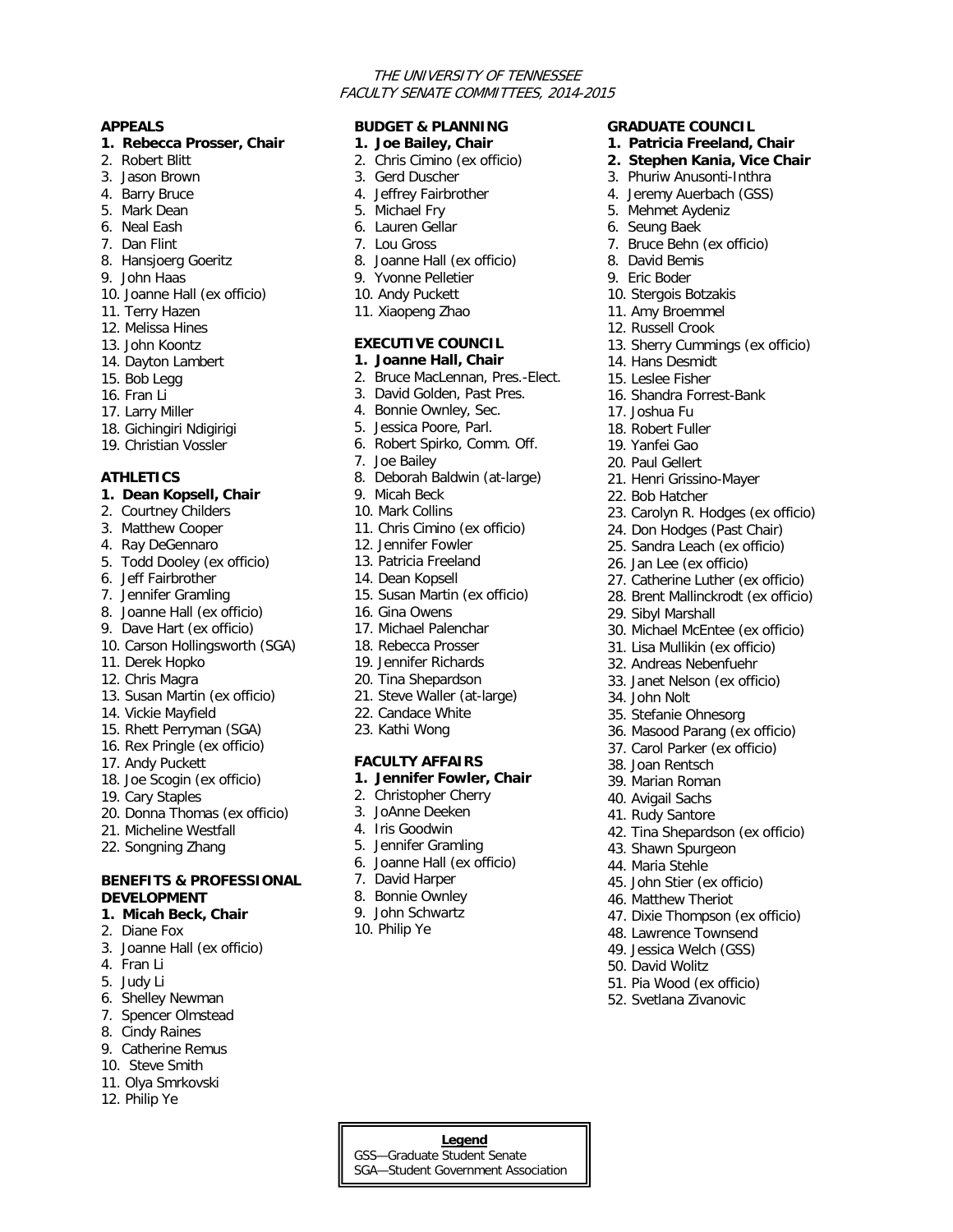### THE UNIVERSITY OF TENNESSEE FACULTY SENATE COMMITTEES, 2014-2015

**GRADUATE COUNCIL 1. Patricia Freeland, Chair 2. Stephen Kania, Vice Chair** 3. Phuriw Anusonti-Inthra 4. Jeremy Auerbach (GSS) 5. Mehmet Aydeniz 6. Seung Baek

7. Bruce Behn (ex officio)

13. Sherry Cummings (ex officio)

23. Carolyn R. Hodges (ex officio) 24. Don Hodges (Past Chair) 25. Sandra Leach (ex officio) 26. Jan Lee (ex officio)

27. Catherine Luther (ex officio) 28. Brent Mallinckrodt (ex officio)

30. Michael McEntee (ex officio) 31. Lisa Mullikin (ex officio) 32. Andreas Nebenfuehr 33. Janet Nelson (ex officio)

36. Masood Parang (ex officio) 37. Carol Parker (ex officio)

42. Tina Shepardson (ex officio)

47. Dixie Thompson (ex officio) 48. Lawrence Townsend 49. Jessica Welch (GSS) 50. David Wolitz 51. Pia Wood (ex officio) 52. Svetlana Zivanovic

8. David Bemis 9. Eric Boder 10. Stergois Botzakis 11. Amy Broemmel 12. Russell Crook

14. Hans Desmidt 15. Leslee Fisher

17. Joshua Fu 18. Robert Fuller 19. Yanfei Gao 20. Paul Gellert

22. Bob Hatcher

29. Sibyl Marshall

34. John Nolt

35. Stefanie Ohnesorg

38. Joan Rentsch 39. Marian Roman 40. Avigail Sachs 41. Rudy Santore

43. Shawn Spurgeon 44. Maria Stehle

45. John Stier (ex officio) 46. Matthew Theriot

16. Shandra Forrest-Bank

21. Henri Grissino-Mayer

#### **APPEALS**

#### **1. Rebecca Prosser, Chair**

- 2. Robert Blitt
- 3. Jason Brown
- 4. Barry Bruce
- 5. Mark Dean
- 6. Neal Eash
- 7. Dan Flint
- 8. Hansjoerg Goeritz
- 9. John Haas
- 10. Joanne Hall (ex officio)
- 11. Terry Hazen
- 12. Melissa Hines
- 13. John Koontz
- 14. Dayton Lambert
- 15. Bob Legg
- 16. Fran Li
- 17. Larry Miller
- 18. Gichingiri Ndigirigi
- 19. Christian Vossler
- 

# **ATHLETICS**

### **1. Dean Kopsell, Chair**

- 2. Courtney Childers
- 3. Matthew Cooper
- 4. Ray DeGennaro
- 5. Todd Dooley (ex officio)
- 6. Jeff Fairbrother
- 7. Jennifer Gramling
- 8. Joanne Hall (ex officio)
- 9. Dave Hart (ex officio)
- 10. Carson Hollingsworth (SGA)
- 11. Derek Hopko
- 12. Chris Magra
- 13. Susan Martin (ex officio)
- 14. Vickie Mayfield
- 15. Rhett Perryman (SGA)
- 16. Rex Pringle (ex officio)
- 17. Andy Puckett
- 18. Joe Scogin (ex officio)
- 19. Cary Staples
- 20. Donna Thomas (ex officio)
- 21. Micheline Westfall
- 22. Songning Zhang

## **BENEFITS & PROFESSIONAL DEVELOPMENT**

- **1. Micah Beck, Chair**
- 2. Diane Fox
- 3. Joanne Hall (ex officio)
- 4. Fran Li
- 5. Judy Li
- 6. Shelley Newman
- 7. Spencer Olmstead
- 8. Cindy Raines
- 9. Catherine Remus
- 10. Steve Smith
- 11. Olya Smrkovski
- 12. Philip Ye

# **BUDGET & PLANNING**

- **1. Joe Bailey, Chair**
- 2. Chris Cimino (ex officio)
- 3. Gerd Duscher
- 4. Jeffrey Fairbrother
- 5. Michael Fry
- 6. Lauren Gellar
- 7. Lou Gross
- 8. Joanne Hall (ex officio)
- 9. Yvonne Pelletier
- 10. Andy Puckett
- 11. Xiaopeng Zhao

# **EXECUTIVE COUNCIL**

### **1. Joanne Hall, Chair**

- 2. Bruce MacLennan, Pres.-Elect.
- 3. David Golden, Past Pres.
- 4. Bonnie Ownley, Sec.
- 5. Jessica Poore, Parl.
- 6. Robert Spirko, Comm. Off.
- 7. Joe Bailey
- 8. Deborah Baldwin (at-large)
- 9. Micah Beck
- 10. Mark Collins
- 11. Chris Cimino (ex officio)
- 12. Jennifer Fowler
- 13. Patricia Freeland
- 14. Dean Kopsell
- 15. Susan Martin (ex officio)
- 16. Gina Owens
- 17. Michael Palenchar
- 18. Rebecca Prosser
- 19. Jennifer Richards
- 20. Tina Shepardson
- 21. Steve Waller (at-large)
- 22. Candace White
- 23. Kathi Wong

# **FACULTY AFFAIRS**

#### **1. Jennifer Fowler, Chair**

- 2. Christopher Cherry
- 3. JoAnne Deeken
- 4. Iris Goodwin

7. David Harper 8. Bonnie Ownley 9. John Schwartz 10. Philip Ye

5. Jennifer Gramling 6. Joanne Hall (ex officio)

**Legend** GSS—Graduate Student Senate SGA—Student Government Association